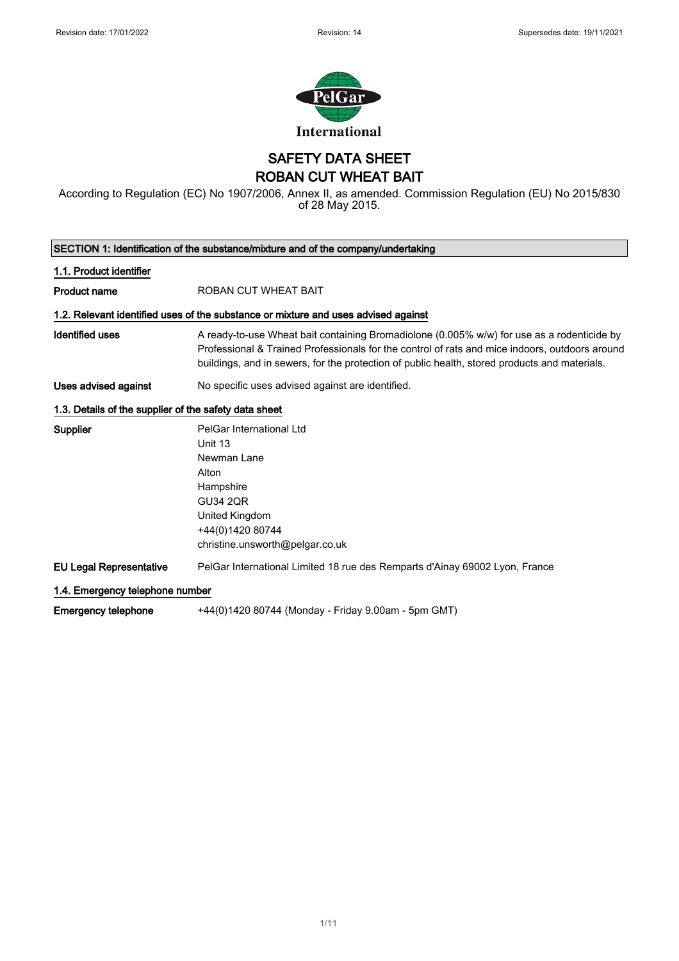$\overline{\phantom{a}}$ 



SAFETY DATA SHEET ROBAN CUT WHEAT BAIT

According to Regulation (EC) No 1907/2006, Annex II, as amended. Commission Regulation (EU) No 2015/830 of 28 May 2015.

| SECTION 1: Identification of the substance/mixture and of the company/undertaking |                                                                                                                                                                                                                                                                                               |  |
|-----------------------------------------------------------------------------------|-----------------------------------------------------------------------------------------------------------------------------------------------------------------------------------------------------------------------------------------------------------------------------------------------|--|
| 1.1. Product identifier                                                           |                                                                                                                                                                                                                                                                                               |  |
| <b>Product name</b>                                                               | <b>ROBAN CUT WHEAT BAIT</b>                                                                                                                                                                                                                                                                   |  |
|                                                                                   | 1.2. Relevant identified uses of the substance or mixture and uses advised against                                                                                                                                                                                                            |  |
| <b>Identified uses</b>                                                            | A ready-to-use Wheat bait containing Bromadiolone (0.005% w/w) for use as a rodenticide by<br>Professional & Trained Professionals for the control of rats and mice indoors, outdoors around<br>buildings, and in sewers, for the protection of public health, stored products and materials. |  |
| Uses advised against                                                              | No specific uses advised against are identified.                                                                                                                                                                                                                                              |  |
| 1.3. Details of the supplier of the safety data sheet                             |                                                                                                                                                                                                                                                                                               |  |
| Supplier                                                                          | PelGar International Ltd<br>Unit 13<br>Newman Lane<br>Alton<br>Hampshire<br><b>GU34 2QR</b><br>United Kingdom<br>+44(0)1420 80744<br>christine.unsworth@pelgar.co.uk                                                                                                                          |  |
| <b>EU Legal Representative</b>                                                    | PelGar International Limited 18 rue des Remparts d'Ainay 69002 Lyon, France                                                                                                                                                                                                                   |  |
| 1.4. Emergency telephone number                                                   |                                                                                                                                                                                                                                                                                               |  |
| <b>Emergency telephone</b>                                                        | +44(0)1420 80744 (Monday - Friday 9.00am - 5pm GMT)                                                                                                                                                                                                                                           |  |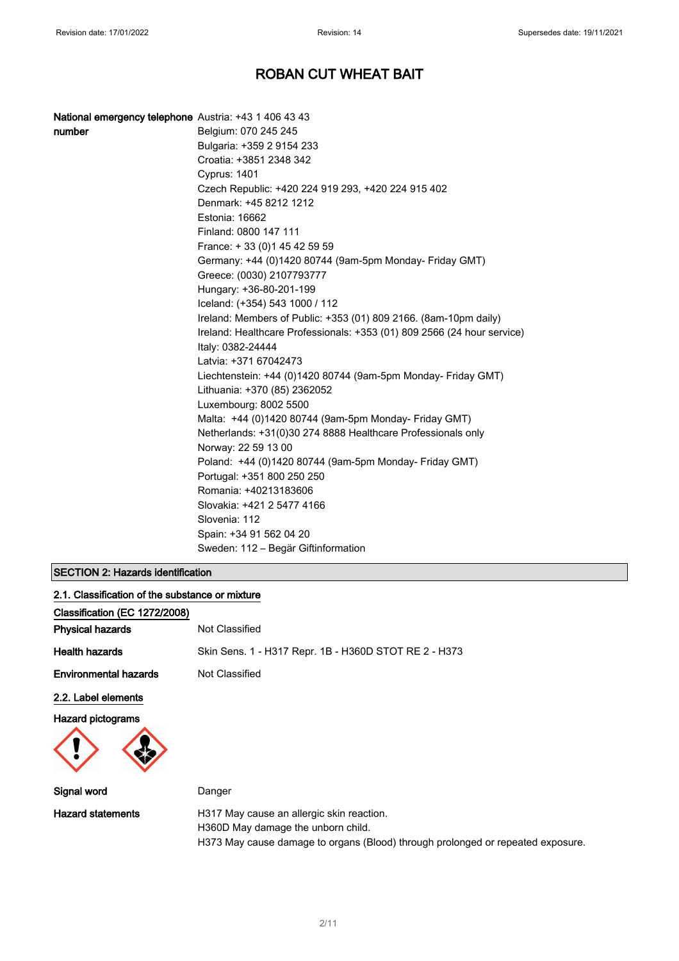| National emergency telephone Austria: +43 1 406 43 43 |                                                                         |
|-------------------------------------------------------|-------------------------------------------------------------------------|
| number                                                | Belgium: 070 245 245                                                    |
|                                                       | Bulgaria: +359 2 9154 233                                               |
|                                                       | Croatia: +3851 2348 342                                                 |
|                                                       | <b>Cyprus: 1401</b>                                                     |
|                                                       | Czech Republic: +420 224 919 293, +420 224 915 402                      |
|                                                       | Denmark: +45 8212 1212                                                  |
|                                                       | Estonia: 16662                                                          |
|                                                       | Finland: 0800 147 111                                                   |
|                                                       | France: +33 (0) 145 42 59 59                                            |
|                                                       | Germany: +44 (0)1420 80744 (9am-5pm Monday- Friday GMT)                 |
|                                                       | Greece: (0030) 2107793777                                               |
|                                                       | Hungary: +36-80-201-199                                                 |
|                                                       | Iceland: (+354) 543 1000 / 112                                          |
|                                                       | Ireland: Members of Public: +353 (01) 809 2166. (8am-10pm daily)        |
|                                                       | Ireland: Healthcare Professionals: +353 (01) 809 2566 (24 hour service) |
|                                                       | Italy: 0382-24444                                                       |
|                                                       | Latvia: +371 67042473                                                   |
|                                                       | Liechtenstein: +44 (0)1420 80744 (9am-5pm Monday- Friday GMT)           |
|                                                       | Lithuania: +370 (85) 2362052                                            |
|                                                       | Luxembourg: 8002 5500                                                   |
|                                                       | Malta: +44 (0)1420 80744 (9am-5pm Monday- Friday GMT)                   |
|                                                       | Netherlands: +31(0)30 274 8888 Healthcare Professionals only            |
|                                                       | Norway: 22 59 13 00                                                     |
|                                                       | Poland: +44 (0)1420 80744 (9am-5pm Monday- Friday GMT)                  |
|                                                       | Portugal: +351 800 250 250                                              |
|                                                       | Romania: +40213183606                                                   |
|                                                       | Slovakia: +421 2 5477 4166                                              |
|                                                       | Slovenia: 112                                                           |
|                                                       | Spain: +34 91 562 04 20                                                 |
|                                                       | Sweden: 112 – Begär Giftinformation                                     |

## SECTION 2: Hazards identification

| 2.1. Classification of the substance or mixture |                                                                                 |
|-------------------------------------------------|---------------------------------------------------------------------------------|
| Classification (EC 1272/2008)                   |                                                                                 |
| <b>Physical hazards</b>                         | Not Classified                                                                  |
| <b>Health hazards</b>                           | Skin Sens. 1 - H317 Repr. 1B - H360D STOT RE 2 - H373                           |
| <b>Environmental hazards</b>                    | Not Classified                                                                  |
| 2.2. Label elements                             |                                                                                 |
| <b>Hazard pictograms</b>                        |                                                                                 |
| Signal word                                     | Danger                                                                          |
| <b>Hazard statements</b>                        | H317 May cause an allergic skin reaction.<br>H360D May damage the unborn child. |

H373 May cause damage to organs (Blood) through prolonged or repeated exposure.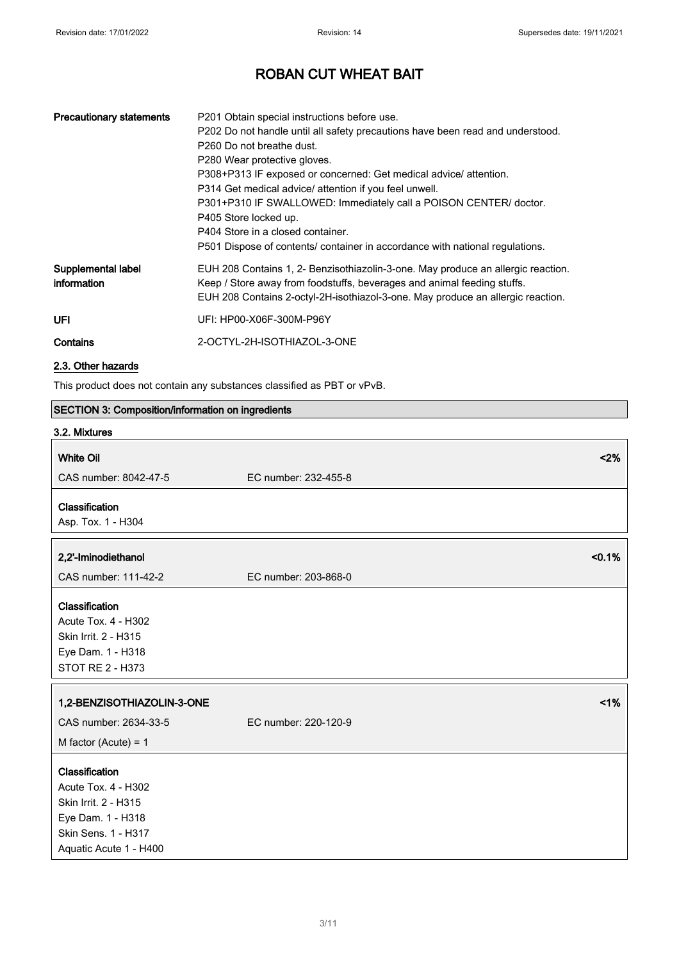| <b>Precautionary statements</b>   | P201 Obtain special instructions before use.<br>P202 Do not handle until all safety precautions have been read and understood.<br>P <sub>260</sub> Do not breathe dust.<br>P280 Wear protective gloves.<br>P308+P313 IF exposed or concerned: Get medical advice/ attention.<br>P314 Get medical advice/ attention if you feel unwell.<br>P301+P310 IF SWALLOWED: Immediately call a POISON CENTER/ doctor.<br>P405 Store locked up.<br>P404 Store in a closed container.<br>P501 Dispose of contents/ container in accordance with national regulations. |
|-----------------------------------|-----------------------------------------------------------------------------------------------------------------------------------------------------------------------------------------------------------------------------------------------------------------------------------------------------------------------------------------------------------------------------------------------------------------------------------------------------------------------------------------------------------------------------------------------------------|
| Supplemental label<br>information | EUH 208 Contains 1, 2- Benzisothiazolin-3-one. May produce an allergic reaction.<br>Keep / Store away from foodstuffs, beverages and animal feeding stuffs.<br>EUH 208 Contains 2-octyl-2H-isothiazol-3-one. May produce an allergic reaction.                                                                                                                                                                                                                                                                                                            |
| UFL                               | UFI: HP00-X06F-300M-P96Y                                                                                                                                                                                                                                                                                                                                                                                                                                                                                                                                  |
| Contains                          | 2-OCTYL-2H-ISOTHIAZOL-3-ONE                                                                                                                                                                                                                                                                                                                                                                                                                                                                                                                               |

## 2.3. Other hazards

This product does not contain any substances classified as PBT or vPvB.

| SECTION 3: Composition/information on ingredients                                                                                   |                      |
|-------------------------------------------------------------------------------------------------------------------------------------|----------------------|
| 3.2. Mixtures                                                                                                                       |                      |
| <b>White Oil</b>                                                                                                                    | $2\%$                |
| CAS number: 8042-47-5                                                                                                               | EC number: 232-455-8 |
| Classification                                                                                                                      |                      |
| Asp. Tox. 1 - H304                                                                                                                  |                      |
|                                                                                                                                     | < 0.1%               |
| 2,2'-Iminodiethanol                                                                                                                 |                      |
| CAS number: 111-42-2                                                                                                                | EC number: 203-868-0 |
| Classification<br><b>Acute Tox. 4 - H302</b><br>Skin Irrit. 2 - H315<br>Eye Dam. 1 - H318<br>STOT RE 2 - H373                       |                      |
| 1,2-BENZISOTHIAZOLIN-3-ONE                                                                                                          | $1\%$                |
| CAS number: 2634-33-5                                                                                                               | EC number: 220-120-9 |
| M factor (Acute) = $1$                                                                                                              |                      |
| Classification<br>Acute Tox. 4 - H302<br>Skin Irrit. 2 - H315<br>Eye Dam. 1 - H318<br>Skin Sens. 1 - H317<br>Aquatic Acute 1 - H400 |                      |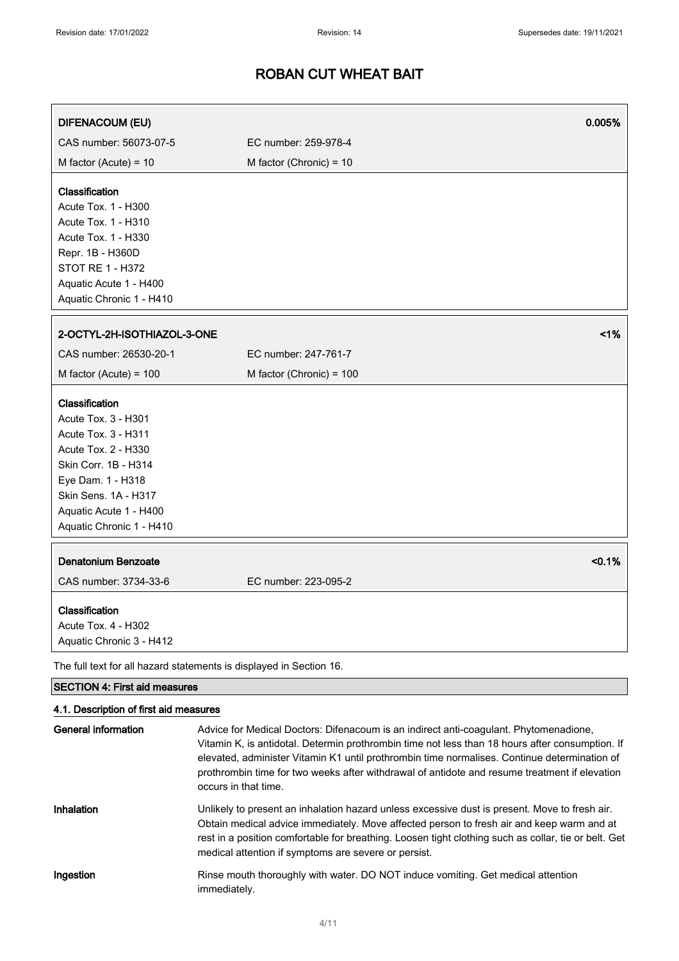| <b>DIFENACOUM (EU)</b>                                                                                                                                                                                                | 0.005%                                                                                                                                                                                   |
|-----------------------------------------------------------------------------------------------------------------------------------------------------------------------------------------------------------------------|------------------------------------------------------------------------------------------------------------------------------------------------------------------------------------------|
| CAS number: 56073-07-5                                                                                                                                                                                                | EC number: 259-978-4                                                                                                                                                                     |
| M factor (Acute) = $10$                                                                                                                                                                                               | M factor (Chronic) = $10$                                                                                                                                                                |
| Classification<br>Acute Tox. 1 - H300<br>Acute Tox. 1 - H310<br>Acute Tox. 1 - H330<br>Repr. 1B - H360D<br><b>STOT RE 1 - H372</b><br>Aquatic Acute 1 - H400<br>Aquatic Chronic 1 - H410                              |                                                                                                                                                                                          |
| 2-OCTYL-2H-ISOTHIAZOL-3-ONE                                                                                                                                                                                           | 1%                                                                                                                                                                                       |
| CAS number: 26530-20-1                                                                                                                                                                                                | EC number: 247-761-7                                                                                                                                                                     |
| M factor (Acute) = $100$                                                                                                                                                                                              | M factor (Chronic) = 100                                                                                                                                                                 |
| Classification<br>Acute Tox. 3 - H301<br><b>Acute Tox. 3 - H311</b><br>Acute Tox. 2 - H330<br>Skin Corr. 1B - H314<br>Eye Dam. 1 - H318<br>Skin Sens. 1A - H317<br>Aquatic Acute 1 - H400<br>Aquatic Chronic 1 - H410 |                                                                                                                                                                                          |
| <b>Denatonium Benzoate</b><br>CAS number: 3734-33-6                                                                                                                                                                   | < 0.1%<br>EC number: 223-095-2                                                                                                                                                           |
| Classification<br>Acute Tox. 4 - H302<br>Aquatic Chronic 3 - H412                                                                                                                                                     |                                                                                                                                                                                          |
| The full text for all hazard statements is displayed in Section 16.                                                                                                                                                   |                                                                                                                                                                                          |
| <b>SECTION 4: First aid measures</b>                                                                                                                                                                                  |                                                                                                                                                                                          |
| 4.1. Description of first aid measures<br><b>General information</b>                                                                                                                                                  | Advice for Medical Doctors: Difenacoum is an indirect anti-coagulant. Phytomenadione,<br>Vitamin K, is antidotal. Determin prothrombin time not less than 18 hours after consumption. If |

elevated, administer Vitamin K1 until prothrombin time normalises. Continue determination of prothrombin time for two weeks after withdrawal of antidote and resume treatment if elevation occurs in that time. Inhalation Unlikely to present an inhalation hazard unless excessive dust is present. Move to fresh air. Obtain medical advice immediately. Move affected person to fresh air and keep warm and at rest in a position comfortable for breathing. Loosen tight clothing such as collar, tie or belt. Get medical attention if symptoms are severe or persist. Ingestion Rinse mouth thoroughly with water. DO NOT induce vomiting. Get medical attention

immediately.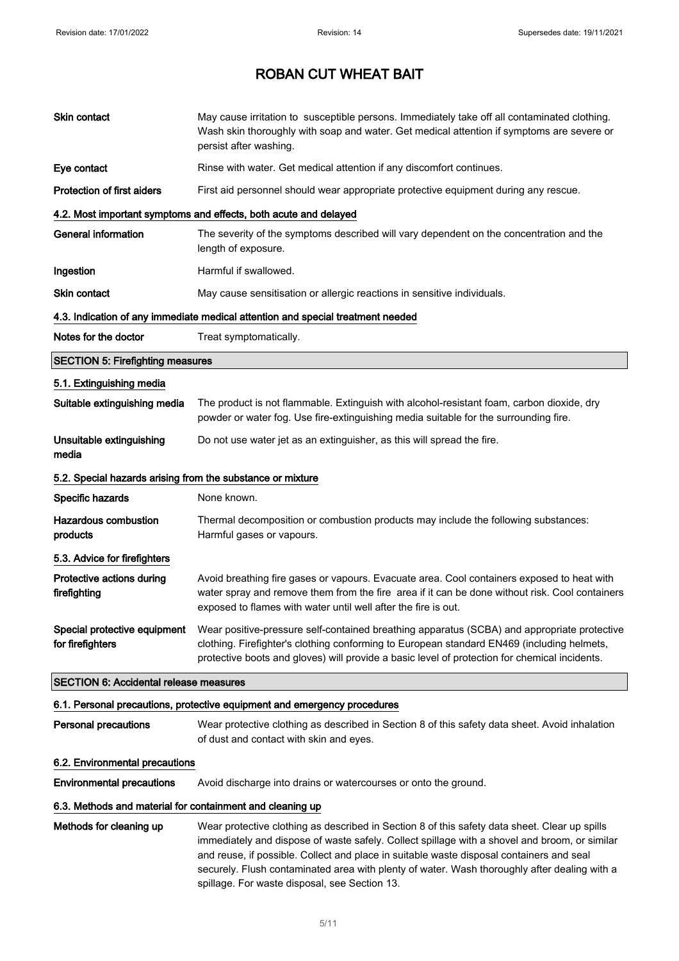| Skin contact                                               | May cause irritation to susceptible persons. Immediately take off all contaminated clothing.<br>Wash skin thoroughly with soap and water. Get medical attention if symptoms are severe or<br>persist after washing.                                                                                                                                                                                                                         |
|------------------------------------------------------------|---------------------------------------------------------------------------------------------------------------------------------------------------------------------------------------------------------------------------------------------------------------------------------------------------------------------------------------------------------------------------------------------------------------------------------------------|
| Eye contact                                                | Rinse with water. Get medical attention if any discomfort continues.                                                                                                                                                                                                                                                                                                                                                                        |
| <b>Protection of first aiders</b>                          | First aid personnel should wear appropriate protective equipment during any rescue.                                                                                                                                                                                                                                                                                                                                                         |
|                                                            | 4.2. Most important symptoms and effects, both acute and delayed                                                                                                                                                                                                                                                                                                                                                                            |
| <b>General information</b>                                 | The severity of the symptoms described will vary dependent on the concentration and the<br>length of exposure.                                                                                                                                                                                                                                                                                                                              |
| Ingestion                                                  | Harmful if swallowed.                                                                                                                                                                                                                                                                                                                                                                                                                       |
| Skin contact                                               | May cause sensitisation or allergic reactions in sensitive individuals.                                                                                                                                                                                                                                                                                                                                                                     |
|                                                            | 4.3. Indication of any immediate medical attention and special treatment needed                                                                                                                                                                                                                                                                                                                                                             |
| Notes for the doctor                                       | Treat symptomatically.                                                                                                                                                                                                                                                                                                                                                                                                                      |
| <b>SECTION 5: Firefighting measures</b>                    |                                                                                                                                                                                                                                                                                                                                                                                                                                             |
| 5.1. Extinguishing media                                   |                                                                                                                                                                                                                                                                                                                                                                                                                                             |
| Suitable extinguishing media                               | The product is not flammable. Extinguish with alcohol-resistant foam, carbon dioxide, dry<br>powder or water fog. Use fire-extinguishing media suitable for the surrounding fire.                                                                                                                                                                                                                                                           |
| Unsuitable extinguishing<br>media                          | Do not use water jet as an extinguisher, as this will spread the fire.                                                                                                                                                                                                                                                                                                                                                                      |
| 5.2. Special hazards arising from the substance or mixture |                                                                                                                                                                                                                                                                                                                                                                                                                                             |
| Specific hazards                                           | None known.                                                                                                                                                                                                                                                                                                                                                                                                                                 |
| <b>Hazardous combustion</b><br>products                    | Thermal decomposition or combustion products may include the following substances:<br>Harmful gases or vapours.                                                                                                                                                                                                                                                                                                                             |
| 5.3. Advice for firefighters                               |                                                                                                                                                                                                                                                                                                                                                                                                                                             |
| Protective actions during<br>firefighting                  | Avoid breathing fire gases or vapours. Evacuate area. Cool containers exposed to heat with<br>water spray and remove them from the fire area if it can be done without risk. Cool containers<br>exposed to flames with water until well after the fire is out.                                                                                                                                                                              |
| Special protective equipment<br>for firefighters           | Wear positive-pressure self-contained breathing apparatus (SCBA) and appropriate protective<br>clothing. Firefighter's clothing conforming to European standard EN469 (including helmets,<br>protective boots and gloves) will provide a basic level of protection for chemical incidents.                                                                                                                                                  |
| <b>SECTION 6: Accidental release measures</b>              |                                                                                                                                                                                                                                                                                                                                                                                                                                             |
|                                                            | 6.1. Personal precautions, protective equipment and emergency procedures                                                                                                                                                                                                                                                                                                                                                                    |
| Personal precautions                                       | Wear protective clothing as described in Section 8 of this safety data sheet. Avoid inhalation<br>of dust and contact with skin and eyes.                                                                                                                                                                                                                                                                                                   |
| 6.2. Environmental precautions                             |                                                                                                                                                                                                                                                                                                                                                                                                                                             |
| <b>Environmental precautions</b>                           | Avoid discharge into drains or watercourses or onto the ground.                                                                                                                                                                                                                                                                                                                                                                             |
| 6.3. Methods and material for containment and cleaning up  |                                                                                                                                                                                                                                                                                                                                                                                                                                             |
| Methods for cleaning up                                    | Wear protective clothing as described in Section 8 of this safety data sheet. Clear up spills<br>immediately and dispose of waste safely. Collect spillage with a shovel and broom, or similar<br>and reuse, if possible. Collect and place in suitable waste disposal containers and seal<br>securely. Flush contaminated area with plenty of water. Wash thoroughly after dealing with a<br>spillage. For waste disposal, see Section 13. |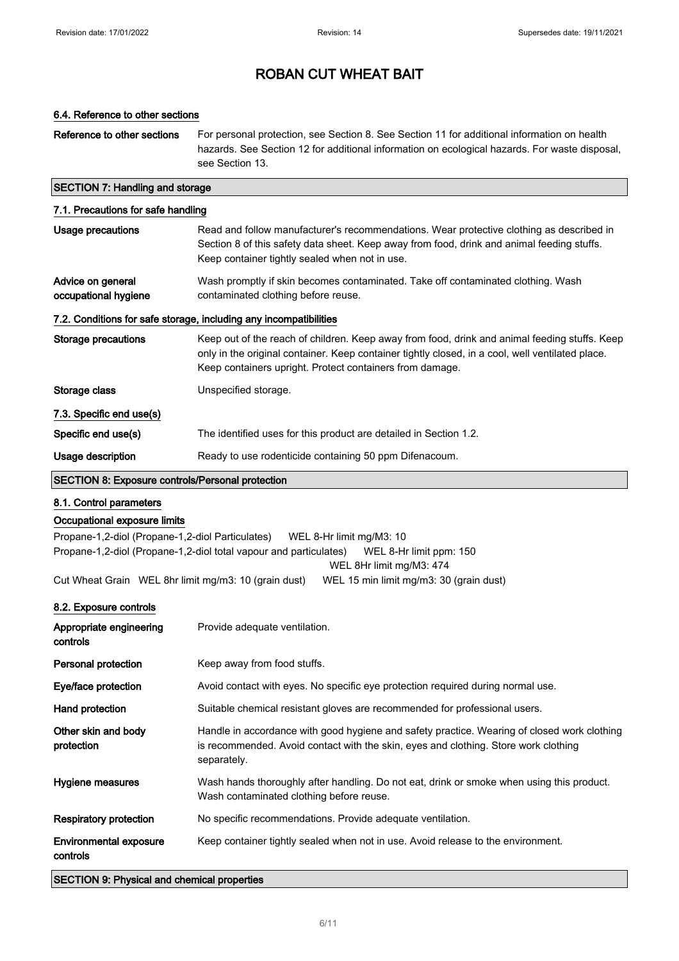### 6.4. Reference to other sections

Reference to other sections For personal protection, see Section 8. See Section 11 for additional information on health hazards. See Section 12 for additional information on ecological hazards. For waste disposal, see Section 13.

### SECTION 7: Handling and storage

| 7.1. Precautions for safe handling                                |                                                                                                                                                                                                                                                               |  |
|-------------------------------------------------------------------|---------------------------------------------------------------------------------------------------------------------------------------------------------------------------------------------------------------------------------------------------------------|--|
| Usage precautions                                                 | Read and follow manufacturer's recommendations. Wear protective clothing as described in<br>Section 8 of this safety data sheet. Keep away from food, drink and animal feeding stuffs.<br>Keep container tightly sealed when not in use.                      |  |
| Advice on general<br>occupational hygiene                         | Wash promptly if skin becomes contaminated. Take off contaminated clothing. Wash<br>contaminated clothing before reuse.                                                                                                                                       |  |
| 7.2. Conditions for safe storage, including any incompatibilities |                                                                                                                                                                                                                                                               |  |
| Storage precautions                                               | Keep out of the reach of children. Keep away from food, drink and animal feeding stuffs. Keep<br>only in the original container. Keep container tightly closed, in a cool, well ventilated place.<br>Keep containers upright. Protect containers from damage. |  |
| Storage class                                                     | Unspecified storage.                                                                                                                                                                                                                                          |  |
| 7.3. Specific end use(s)                                          |                                                                                                                                                                                                                                                               |  |
| Specific end use(s)                                               | The identified uses for this product are detailed in Section 1.2.                                                                                                                                                                                             |  |
| Usage description                                                 | Ready to use rodenticide containing 50 ppm Difenacoum.                                                                                                                                                                                                        |  |
| <b>SECTION 8: Exposure controls/Personal protection</b>           |                                                                                                                                                                                                                                                               |  |

#### 8.1. Control parameters

### Occupational exposure limits

Propane-1,2-diol (Propane-1,2-diol Particulates) WEL 8-Hr limit mg/M3: 10 Propane-1,2-diol (Propane-1,2-diol total vapour and particulates) WEL 8-Hr limit ppm: 150 WEL 8Hr limit mg/M3: 474

Cut Wheat Grain WEL 8hr limit mg/m3: 10 (grain dust) WEL 15 min limit mg/m3: 30 (grain dust)

## 8.2. Exposure controls

| Appropriate engineering<br>controls       | Provide adequate ventilation.                                                                                                                                                                     |
|-------------------------------------------|---------------------------------------------------------------------------------------------------------------------------------------------------------------------------------------------------|
| Personal protection                       | Keep away from food stuffs.                                                                                                                                                                       |
| Eye/face protection                       | Avoid contact with eyes. No specific eye protection required during normal use.                                                                                                                   |
| Hand protection                           | Suitable chemical resistant gloves are recommended for professional users.                                                                                                                        |
| Other skin and body<br>protection         | Handle in accordance with good hygiene and safety practice. Wearing of closed work clothing<br>is recommended. Avoid contact with the skin, eyes and clothing. Store work clothing<br>separately. |
| Hygiene measures                          | Wash hands thoroughly after handling. Do not eat, drink or smoke when using this product.<br>Wash contaminated clothing before reuse.                                                             |
| Respiratory protection                    | No specific recommendations. Provide adequate ventilation.                                                                                                                                        |
| <b>Environmental exposure</b><br>controls | Keep container tightly sealed when not in use. Avoid release to the environment.                                                                                                                  |

SECTION 9: Physical and chemical properties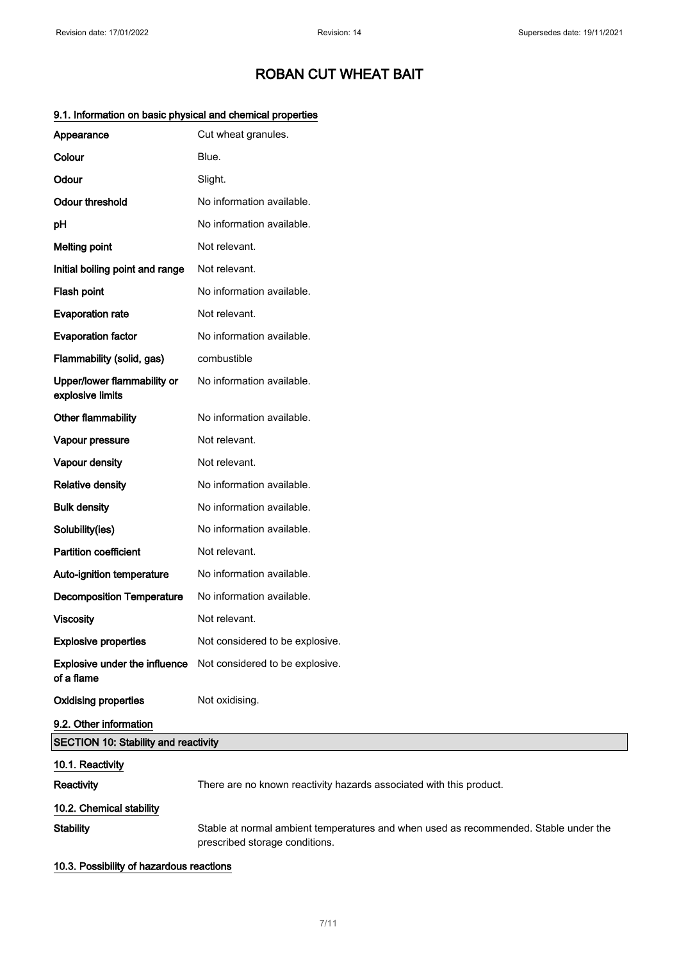| Appearance                                      | Cut wheat granules.                                                                                                    |
|-------------------------------------------------|------------------------------------------------------------------------------------------------------------------------|
| Colour                                          | Blue.                                                                                                                  |
| Odour                                           | Slight.                                                                                                                |
| <b>Odour threshold</b>                          | No information available.                                                                                              |
| pH                                              | No information available.                                                                                              |
| <b>Melting point</b>                            | Not relevant.                                                                                                          |
| Initial boiling point and range                 | Not relevant.                                                                                                          |
| Flash point                                     | No information available.                                                                                              |
| <b>Evaporation rate</b>                         | Not relevant.                                                                                                          |
| <b>Evaporation factor</b>                       | No information available.                                                                                              |
| Flammability (solid, gas)                       | combustible                                                                                                            |
| Upper/lower flammability or<br>explosive limits | No information available.                                                                                              |
| Other flammability                              | No information available.                                                                                              |
| Vapour pressure                                 | Not relevant.                                                                                                          |
| Vapour density                                  | Not relevant.                                                                                                          |
| <b>Relative density</b>                         | No information available.                                                                                              |
| <b>Bulk density</b>                             | No information available.                                                                                              |
| Solubility(ies)                                 | No information available.                                                                                              |
| <b>Partition coefficient</b>                    | Not relevant.                                                                                                          |
| Auto-ignition temperature                       | No information available.                                                                                              |
| <b>Decomposition Temperature</b>                | No information available.                                                                                              |
| <b>Viscosity</b>                                | Not relevant.                                                                                                          |
| <b>Explosive properties</b>                     | Not considered to be explosive.                                                                                        |
| Explosive under the influence<br>of a flame     | Not considered to be explosive.                                                                                        |
| <b>Oxidising properties</b>                     | Not oxidising.                                                                                                         |
| 9.2. Other information                          |                                                                                                                        |
| <b>SECTION 10: Stability and reactivity</b>     |                                                                                                                        |
| 10.1. Reactivity                                |                                                                                                                        |
| Reactivity                                      | There are no known reactivity hazards associated with this product.                                                    |
| 10.2. Chemical stability                        |                                                                                                                        |
| <b>Stability</b>                                | Stable at normal ambient temperatures and when used as recommended. Stable under the<br>prescribed storage conditions. |

## 9.1. Information on basic physical and chemical properties

10.3. Possibility of hazardous reactions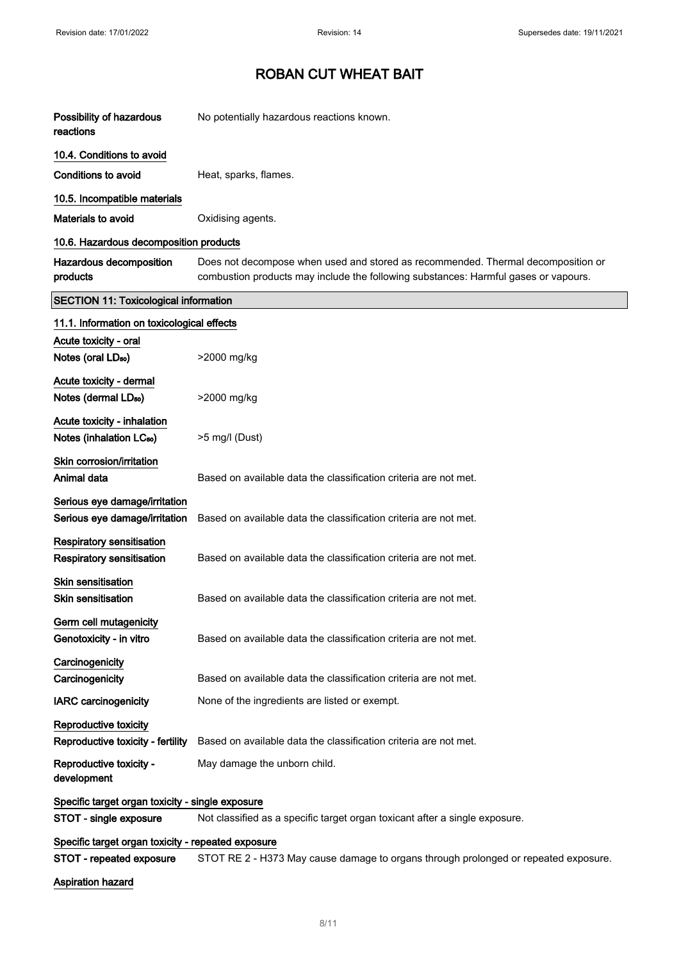| Possibility of hazardous<br>reactions                                | No potentially hazardous reactions known.                                                                                                                               |
|----------------------------------------------------------------------|-------------------------------------------------------------------------------------------------------------------------------------------------------------------------|
| 10.4. Conditions to avoid                                            |                                                                                                                                                                         |
| <b>Conditions to avoid</b>                                           | Heat, sparks, flames.                                                                                                                                                   |
| 10.5. Incompatible materials                                         |                                                                                                                                                                         |
| Materials to avoid                                                   | Oxidising agents.                                                                                                                                                       |
| 10.6. Hazardous decomposition products                               |                                                                                                                                                                         |
| Hazardous decomposition<br>products                                  | Does not decompose when used and stored as recommended. Thermal decomposition or<br>combustion products may include the following substances: Harmful gases or vapours. |
| <b>SECTION 11: Toxicological information</b>                         |                                                                                                                                                                         |
| 11.1. Information on toxicological effects                           |                                                                                                                                                                         |
| Acute toxicity - oral<br>Notes (oral LD <sub>50</sub> )              | >2000 mg/kg                                                                                                                                                             |
| Acute toxicity - dermal<br>Notes (dermal LD <sub>50</sub> )          | >2000 mg/kg                                                                                                                                                             |
| Acute toxicity - inhalation<br>Notes (inhalation LC <sub>50</sub> )  | >5 mg/l (Dust)                                                                                                                                                          |
| Skin corrosion/irritation<br>Animal data                             | Based on available data the classification criteria are not met.                                                                                                        |
| Serious eye damage/irritation<br>Serious eye damage/irritation       | Based on available data the classification criteria are not met.                                                                                                        |
| <b>Respiratory sensitisation</b><br><b>Respiratory sensitisation</b> | Based on available data the classification criteria are not met.                                                                                                        |
| <b>Skin sensitisation</b><br><b>Skin sensitisation</b>               | Based on available data the classification criteria are not met.                                                                                                        |
| Germ cell mutagenicity<br>Genotoxicity - in vitro                    | Based on available data the classification criteria are not met.                                                                                                        |
| Carcinogenicity<br>Carcinogenicity                                   | Based on available data the classification criteria are not met.                                                                                                        |
| <b>IARC</b> carcinogenicity                                          | None of the ingredients are listed or exempt.                                                                                                                           |
| Reproductive toxicity<br>Reproductive toxicity - fertility           | Based on available data the classification criteria are not met.                                                                                                        |
| Reproductive toxicity -<br>development                               | May damage the unborn child.                                                                                                                                            |
| Specific target organ toxicity - single exposure                     |                                                                                                                                                                         |
| STOT - single exposure                                               | Not classified as a specific target organ toxicant after a single exposure.                                                                                             |
| Specific target organ toxicity - repeated exposure                   |                                                                                                                                                                         |
| STOT - repeated exposure                                             | STOT RE 2 - H373 May cause damage to organs through prolonged or repeated exposure.                                                                                     |
| <b>Aspiration hazard</b>                                             |                                                                                                                                                                         |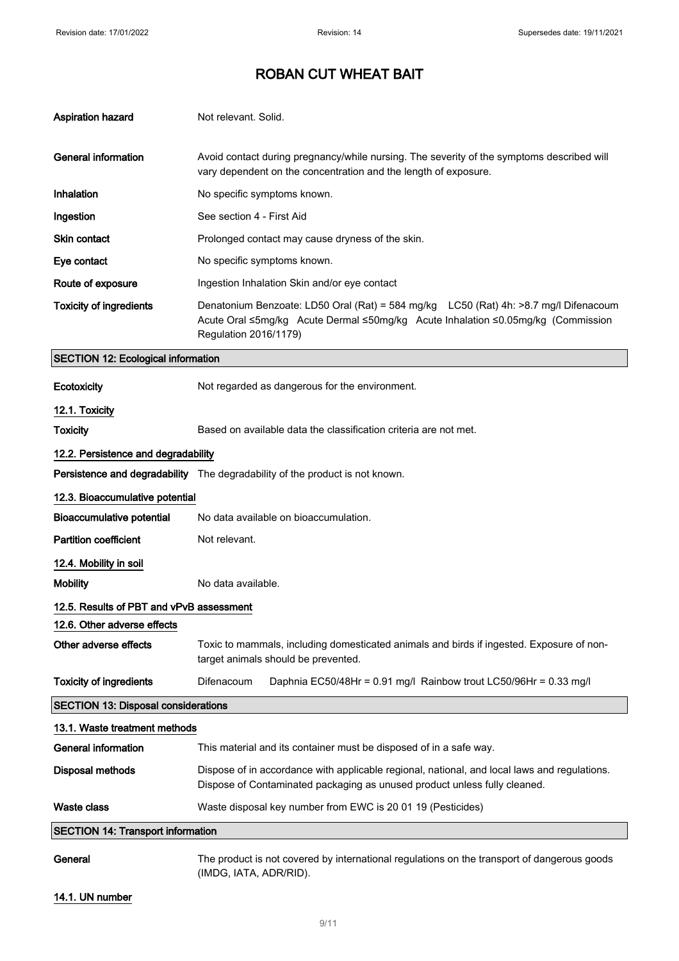| <b>Aspiration hazard</b>                   | Not relevant. Solid.                                                                                                                                                                              |
|--------------------------------------------|---------------------------------------------------------------------------------------------------------------------------------------------------------------------------------------------------|
| <b>General information</b>                 | Avoid contact during pregnancy/while nursing. The severity of the symptoms described will<br>vary dependent on the concentration and the length of exposure.                                      |
| Inhalation                                 | No specific symptoms known.                                                                                                                                                                       |
| Ingestion                                  | See section 4 - First Aid                                                                                                                                                                         |
| <b>Skin contact</b>                        | Prolonged contact may cause dryness of the skin.                                                                                                                                                  |
| Eye contact                                | No specific symptoms known.                                                                                                                                                                       |
| Route of exposure                          | Ingestion Inhalation Skin and/or eye contact                                                                                                                                                      |
| <b>Toxicity of ingredients</b>             | Denatonium Benzoate: LD50 Oral (Rat) = 584 mg/kg LC50 (Rat) 4h: >8.7 mg/l Difenacoum<br>Acute Oral ≤5mg/kg Acute Dermal ≤50mg/kg Acute Inhalation ≤0.05mg/kg (Commission<br>Regulation 2016/1179) |
| <b>SECTION 12: Ecological information</b>  |                                                                                                                                                                                                   |
| Ecotoxicity                                | Not regarded as dangerous for the environment.                                                                                                                                                    |
| 12.1. Toxicity                             |                                                                                                                                                                                                   |
| <b>Toxicity</b>                            | Based on available data the classification criteria are not met.                                                                                                                                  |
| 12.2. Persistence and degradability        |                                                                                                                                                                                                   |
|                                            | Persistence and degradability The degradability of the product is not known.                                                                                                                      |
| 12.3. Bioaccumulative potential            |                                                                                                                                                                                                   |
| <b>Bioaccumulative potential</b>           | No data available on bioaccumulation.                                                                                                                                                             |
| <b>Partition coefficient</b>               | Not relevant.                                                                                                                                                                                     |
| 12.4. Mobility in soil                     |                                                                                                                                                                                                   |
| <b>Mobility</b>                            | No data available.                                                                                                                                                                                |
| 12.5. Results of PBT and vPvB assessment   |                                                                                                                                                                                                   |
| 12.6. Other adverse effects                |                                                                                                                                                                                                   |
| Other adverse effects                      | Toxic to mammals, including domesticated animals and birds if ingested. Exposure of non-<br>target animals should be prevented.                                                                   |
| <b>Toxicity of ingredients</b>             | Difenacoum<br>Daphnia EC50/48Hr = 0.91 mg/l Rainbow trout LC50/96Hr = 0.33 mg/l                                                                                                                   |
| <b>SECTION 13: Disposal considerations</b> |                                                                                                                                                                                                   |
| 13.1. Waste treatment methods              |                                                                                                                                                                                                   |
| <b>General information</b>                 | This material and its container must be disposed of in a safe way.                                                                                                                                |
| <b>Disposal methods</b>                    | Dispose of in accordance with applicable regional, national, and local laws and regulations.<br>Dispose of Contaminated packaging as unused product unless fully cleaned.                         |
| <b>Waste class</b>                         | Waste disposal key number from EWC is 20 01 19 (Pesticides)                                                                                                                                       |
| <b>SECTION 14: Transport information</b>   |                                                                                                                                                                                                   |
| General                                    | The product is not covered by international regulations on the transport of dangerous goods<br>(IMDG, IATA, ADR/RID).                                                                             |

14.1. UN number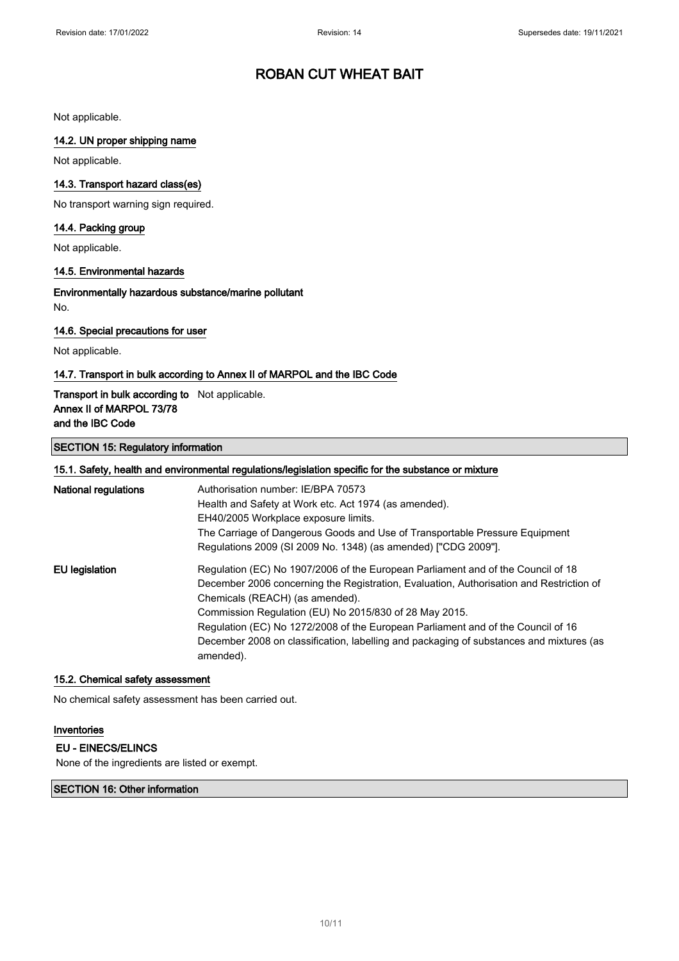Not applicable.

### 14.2. UN proper shipping name

Not applicable.

### 14.3. Transport hazard class(es)

No transport warning sign required.

### 14.4. Packing group

Not applicable.

### 14.5. Environmental hazards

Environmentally hazardous substance/marine pollutant No.

### 14.6. Special precautions for user

Not applicable.

### 14.7. Transport in bulk according to Annex II of MARPOL and the IBC Code

### Transport in bulk according to Not applicable. Annex II of MARPOL 73/78 and the IBC Code

### SECTION 15: Regulatory information

| 15.1. Safety, health and environmental regulations/legislation specific for the substance or mixture |                                                                                         |  |
|------------------------------------------------------------------------------------------------------|-----------------------------------------------------------------------------------------|--|
| <b>National regulations</b>                                                                          | Authorisation number: IE/BPA 70573                                                      |  |
|                                                                                                      | Health and Safety at Work etc. Act 1974 (as amended).                                   |  |
|                                                                                                      | EH40/2005 Workplace exposure limits.                                                    |  |
|                                                                                                      | The Carriage of Dangerous Goods and Use of Transportable Pressure Equipment             |  |
|                                                                                                      | Regulations 2009 (SI 2009 No. 1348) (as amended) ["CDG 2009"].                          |  |
| EU legislation                                                                                       | Regulation (EC) No 1907/2006 of the European Parliament and of the Council of 18        |  |
|                                                                                                      | December 2006 concerning the Registration, Evaluation, Authorisation and Restriction of |  |
|                                                                                                      | Chemicals (REACH) (as amended).                                                         |  |
|                                                                                                      | Commission Regulation (EU) No 2015/830 of 28 May 2015.                                  |  |
|                                                                                                      | Regulation (EC) No 1272/2008 of the European Parliament and of the Council of 16        |  |
|                                                                                                      | December 2008 on classification, labelling and packaging of substances and mixtures (as |  |
|                                                                                                      | amended).                                                                               |  |

### 15.2. Chemical safety assessment

No chemical safety assessment has been carried out.

### Inventories

## EU - EINECS/ELINCS

None of the ingredients are listed or exempt.

#### SECTION 16: Other information